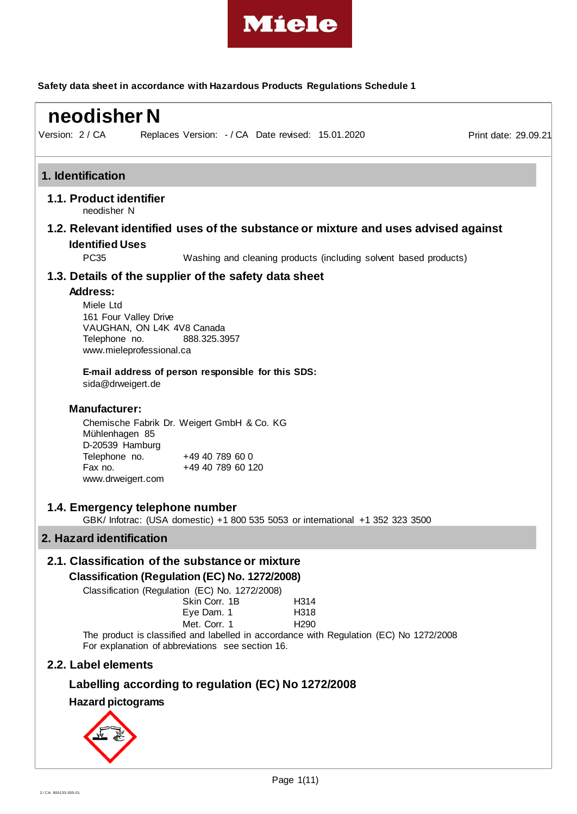

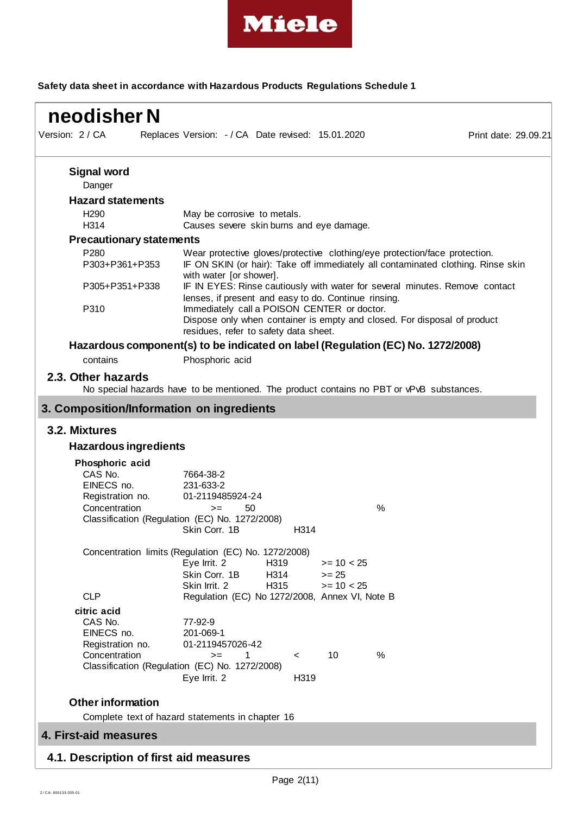

| neodisher N                                                                   |                                                                                                                                                                                           |                      |
|-------------------------------------------------------------------------------|-------------------------------------------------------------------------------------------------------------------------------------------------------------------------------------------|----------------------|
| Version: 2 / CA                                                               | Replaces Version: - / CA Date revised: 15.01.2020                                                                                                                                         | Print date: 29.09.21 |
| <b>Signal word</b><br>Danger                                                  |                                                                                                                                                                                           |                      |
| <b>Hazard statements</b>                                                      |                                                                                                                                                                                           |                      |
| H <sub>290</sub><br>H314                                                      | May be corrosive to metals.<br>Causes severe skin burns and eye damage.                                                                                                                   |                      |
| <b>Precautionary statements</b>                                               |                                                                                                                                                                                           |                      |
| P280<br>P303+P361+P353                                                        | Wear protective gloves/protective clothing/eye protection/face protection.<br>IF ON SKIN (or hair): Take off immediately all contaminated clothing. Rinse skin<br>with water [or shower]. |                      |
| P305+P351+P338                                                                | IF IN EYES: Rinse cautiously with water for several minutes. Remove contact<br>lenses, if present and easy to do. Continue rinsing.                                                       |                      |
| P310                                                                          | Immediately call a POISON CENTER or doctor.<br>Dispose only when container is empty and closed. For disposal of product<br>residues, refer to safety data sheet.                          |                      |
|                                                                               | Hazardous component(s) to be indicated on label (Regulation (EC) No. 1272/2008)                                                                                                           |                      |
| contains                                                                      | Phosphoric acid                                                                                                                                                                           |                      |
| 2.3. Other hazards                                                            | No special hazards have to be mentioned. The product contains no PBT or vPvB substances.                                                                                                  |                      |
|                                                                               | 3. Composition/Information on ingredients                                                                                                                                                 |                      |
| 3.2. Mixtures                                                                 |                                                                                                                                                                                           |                      |
| <b>Hazardous ingredients</b>                                                  |                                                                                                                                                                                           |                      |
|                                                                               |                                                                                                                                                                                           |                      |
| Phosphoric acid<br>CAS No.<br>EINECS no.<br>Registration no.<br>Concentration | 7664-38-2<br>231-633-2<br>01-2119485924-24<br>50<br>$\%$<br>$>=$<br>Classification (Regulation (EC) No. 1272/2008)<br>Skin Corr. 1B<br>H314                                               |                      |
|                                                                               | Concentration limits (Regulation (EC) No. 1272/2008)                                                                                                                                      |                      |
|                                                                               | $>= 10 < 25$<br>Eye Irrit. 2<br>H319<br>Skin Corr. 1B<br>H314<br>$>= 25$<br>H315<br>Skin Irrit. 2<br>$>= 10 < 25$                                                                         |                      |
| <b>CLP</b>                                                                    | Regulation (EC) No 1272/2008, Annex VI, Note B                                                                                                                                            |                      |
| citric acid<br>CAS No.<br>EINECS no.<br>Registration no.<br>Concentration     | 77-92-9<br>201-069-1<br>01-2119457026-42<br>10<br>$\%$<br>1<br>$>=$<br>$\prec$<br>Classification (Regulation (EC) No. 1272/2008)<br>Eye Irrit. 2<br>H319                                  |                      |
| <b>Other information</b>                                                      |                                                                                                                                                                                           |                      |
|                                                                               | Complete text of hazard statements in chapter 16                                                                                                                                          |                      |
| 4. First-aid measures                                                         |                                                                                                                                                                                           |                      |
| 4.1. Description of first aid measures                                        |                                                                                                                                                                                           |                      |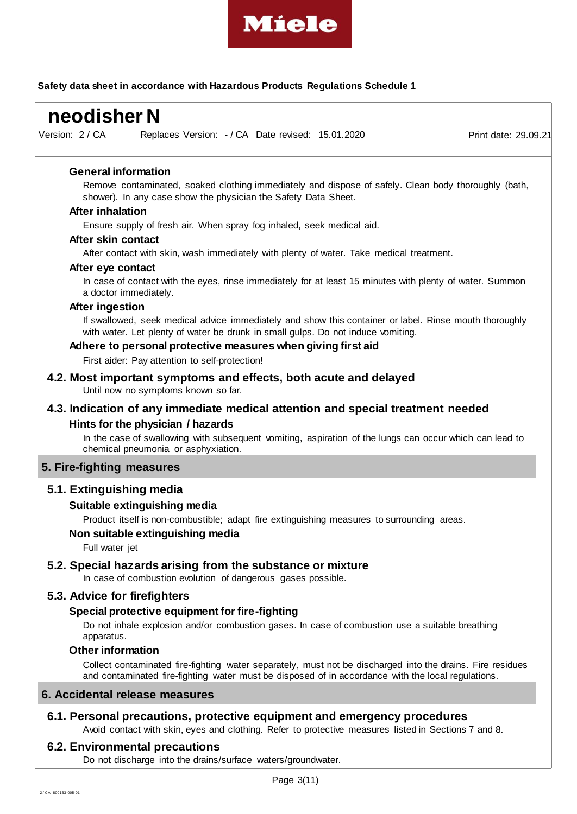

Replaces Version:  $-$  / CA Date revised: 15.01.2020 Print date: 29.09.21  **neodisher N** Version: 2 / CA **General information** Remove contaminated, soaked clothing immediately and dispose of safely. Clean body thoroughly (bath, shower). In any case show the physician the Safety Data Sheet. **After inhalation** Ensure supply of fresh air. When spray fog inhaled, seek medical aid. **After skin contact** After contact with skin, wash immediately with plenty of water. Take medical treatment. **After eye contact** In case of contact with the eyes, rinse immediately for at least 15 minutes with plenty of water. Summon a doctor immediately. **After ingestion** If swallowed, seek medical advice immediately and show this container or label. Rinse mouth thoroughly with water. Let plenty of water be drunk in small gulps. Do not induce vomiting. **Adhere to personal protective measures when giving first aid** First aider: Pay attention to self-protection! **4.2. Most important symptoms and effects, both acute and delayed** Until now no symptoms known so far. **4.3. Indication of any immediate medical attention and special treatment needed Hints for the physician / hazards** In the case of swallowing with subsequent vomiting, aspiration of the lungs can occur which can lead to chemical pneumonia or asphyxiation.

## **5. Fire-fighting measures**

## **5.1. Extinguishing media**

## **Suitable extinguishing media**

Product itself is non-combustible; adapt fire extinguishing measures to surrounding areas.

#### **Non suitable extinguishing media**

Full water jet

#### **5.2. Special hazards arising from the substance or mixture**

In case of combustion evolution of dangerous gases possible.

# **5.3. Advice for firefighters**

## **Special protective equipment for fire-fighting**

Do not inhale explosion and/or combustion gases. In case of combustion use a suitable breathing apparatus.

## **Other information**

Collect contaminated fire-fighting water separately, must not be discharged into the drains. Fire residues and contaminated fire-fighting water must be disposed of in accordance with the local regulations.

## **6. Accidental release measures**

## **6.1. Personal precautions, protective equipment and emergency procedures**

Avoid contact with skin, eyes and clothing. Refer to protective measures listed in Sections 7 and 8.

## **6.2. Environmental precautions**

Do not discharge into the drains/surface waters/groundwater.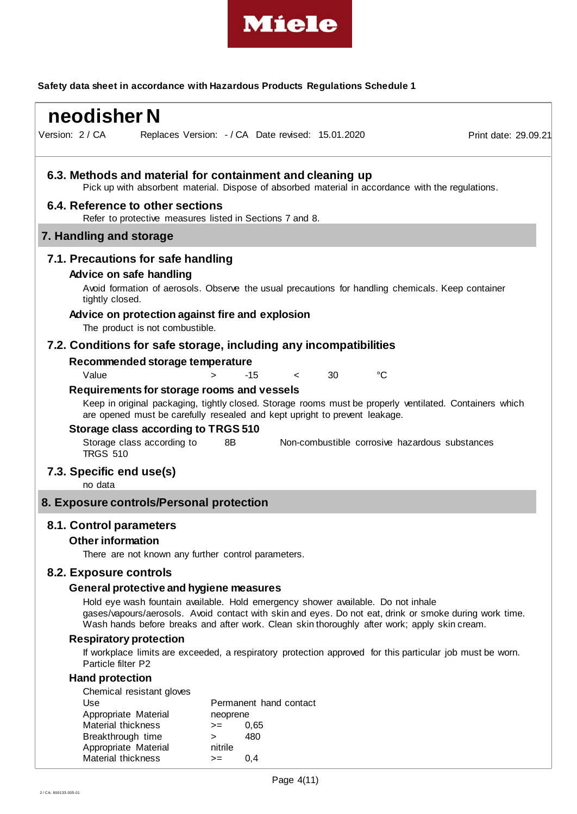

| neodisher N                                                                                                                        |                                                                                                                                                                                                                                                                                            |                      |
|------------------------------------------------------------------------------------------------------------------------------------|--------------------------------------------------------------------------------------------------------------------------------------------------------------------------------------------------------------------------------------------------------------------------------------------|----------------------|
| Version: 2 / CA                                                                                                                    | Replaces Version: - / CA Date revised: 15.01.2020                                                                                                                                                                                                                                          | Print date: 29.09.21 |
|                                                                                                                                    | 6.3. Methods and material for containment and cleaning up<br>Pick up with absorbent material. Dispose of absorbed material in accordance with the regulations.                                                                                                                             |                      |
| 6.4. Reference to other sections                                                                                                   | Refer to protective measures listed in Sections 7 and 8.                                                                                                                                                                                                                                   |                      |
| 7. Handling and storage                                                                                                            |                                                                                                                                                                                                                                                                                            |                      |
| 7.1. Precautions for safe handling<br>Advice on safe handling<br>tightly closed.<br>The product is not combustible.                | Avoid formation of aerosols. Observe the usual precautions for handling chemicals. Keep container<br>Advice on protection against fire and explosion                                                                                                                                       |                      |
|                                                                                                                                    | 7.2. Conditions for safe storage, including any incompatibilities                                                                                                                                                                                                                          |                      |
| Recommended storage temperature<br>Value                                                                                           | 30<br>°C<br>-15<br>$\geq$<br>$\lt$                                                                                                                                                                                                                                                         |                      |
| Requirements for storage rooms and vessels<br>Storage class according to TRGS 510<br>Storage class according to<br><b>TRGS 510</b> | Keep in original packaging, tightly closed. Storage rooms must be properly ventilated. Containers which<br>are opened must be carefully resealed and kept upright to prevent leakage.<br>8B<br>Non-combustible corrosive hazardous substances                                              |                      |
| 7.3. Specific end use(s)<br>no data                                                                                                |                                                                                                                                                                                                                                                                                            |                      |
| 8. Exposure controls/Personal protection                                                                                           |                                                                                                                                                                                                                                                                                            |                      |
| 8.1. Control parameters<br><b>Other information</b>                                                                                | There are not known any further control parameters.                                                                                                                                                                                                                                        |                      |
| 8.2. Exposure controls                                                                                                             |                                                                                                                                                                                                                                                                                            |                      |
| General protective and hygiene measures                                                                                            | Hold eye wash fountain available. Hold emergency shower available. Do not inhale<br>gases/vapours/aerosols. Avoid contact with skin and eyes. Do not eat, drink or smoke during work time.<br>Wash hands before breaks and after work. Clean skin thoroughly after work; apply skin cream. |                      |
| <b>Respiratory protection</b>                                                                                                      |                                                                                                                                                                                                                                                                                            |                      |
| Particle filter P2                                                                                                                 | If workplace limits are exceeded, a respiratory protection approved for this particular job must be worn.                                                                                                                                                                                  |                      |
| <b>Hand protection</b>                                                                                                             |                                                                                                                                                                                                                                                                                            |                      |
| Chemical resistant gloves<br>Use<br>Appropriate Material<br>Material thickness<br>Breakthrough time                                | Permanent hand contact<br>neoprene<br>0,65<br>$>=$<br>480                                                                                                                                                                                                                                  |                      |

Breakthrough time ><br>Appropriate Material mitrile

Material thickness  $> = 0,4$ 

Appropriate Material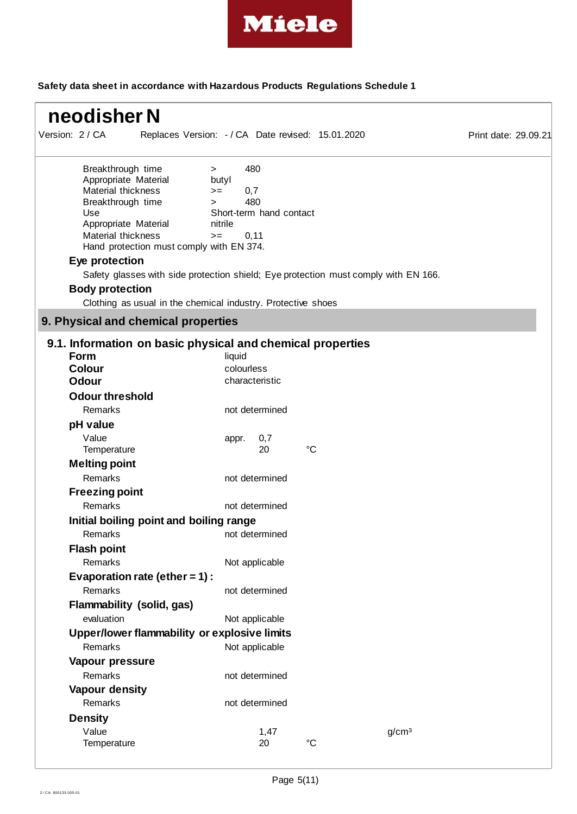

| neodisher N                                                                                                                                                                                                                                                                                                                           |                                                                                                                                                                  |                      |
|---------------------------------------------------------------------------------------------------------------------------------------------------------------------------------------------------------------------------------------------------------------------------------------------------------------------------------------|------------------------------------------------------------------------------------------------------------------------------------------------------------------|----------------------|
| Version: 2 / CA                                                                                                                                                                                                                                                                                                                       | Replaces Version: - / CA Date revised: 15.01.2020                                                                                                                | Print date: 29.09.21 |
| Breakthrough time<br>$\geq$<br>Appropriate Material<br>Material thickness<br>$>=$<br>Breakthrough time<br>$\geq$<br>Use<br>Appropriate Material<br>Material thickness<br>$>=$<br>Hand protection must comply with EN 374.<br>Eye protection<br><b>Body protection</b><br>Clothing as usual in the chemical industry. Protective shoes | 480<br>butyl<br>0,7<br>480<br>Short-term hand contact<br>nitrile<br>0, 11<br>Safety glasses with side protection shield; Eye protection must comply with EN 166. |                      |
| 9. Physical and chemical properties                                                                                                                                                                                                                                                                                                   |                                                                                                                                                                  |                      |
| 9.1. Information on basic physical and chemical properties<br><b>Form</b><br><b>Colour</b><br>Odour<br><b>Odour threshold</b><br>Remarks                                                                                                                                                                                              | liquid<br>colourless<br>characteristic<br>not determined                                                                                                         |                      |
| pH value<br>Value<br>Temperature<br><b>Melting point</b>                                                                                                                                                                                                                                                                              | 0,7<br>appr.<br>$\rm ^{\circ}C$<br>20                                                                                                                            |                      |
| Remarks<br><b>Freezing point</b><br>Remarks                                                                                                                                                                                                                                                                                           | not determined<br>not determined                                                                                                                                 |                      |
| Initial boiling point and boiling range                                                                                                                                                                                                                                                                                               |                                                                                                                                                                  |                      |
| Remarks<br><b>Flash point</b><br>Remarks                                                                                                                                                                                                                                                                                              | not determined<br>Not applicable                                                                                                                                 |                      |
| Evaporation rate (ether = $1$ ) :<br>Remarks<br>Flammability (solid, gas)                                                                                                                                                                                                                                                             | not determined                                                                                                                                                   |                      |
| evaluation<br>Upper/lower flammability or explosive limits<br>Remarks                                                                                                                                                                                                                                                                 | Not applicable<br>Not applicable                                                                                                                                 |                      |
| Vapour pressure<br>Remarks<br>Vapour density                                                                                                                                                                                                                                                                                          | not determined                                                                                                                                                   |                      |
| Remarks<br><b>Density</b><br>Value<br>Temperature                                                                                                                                                                                                                                                                                     | not determined<br>g/cm <sup>3</sup><br>1,47<br>20<br>$^{\circ}C$                                                                                                 |                      |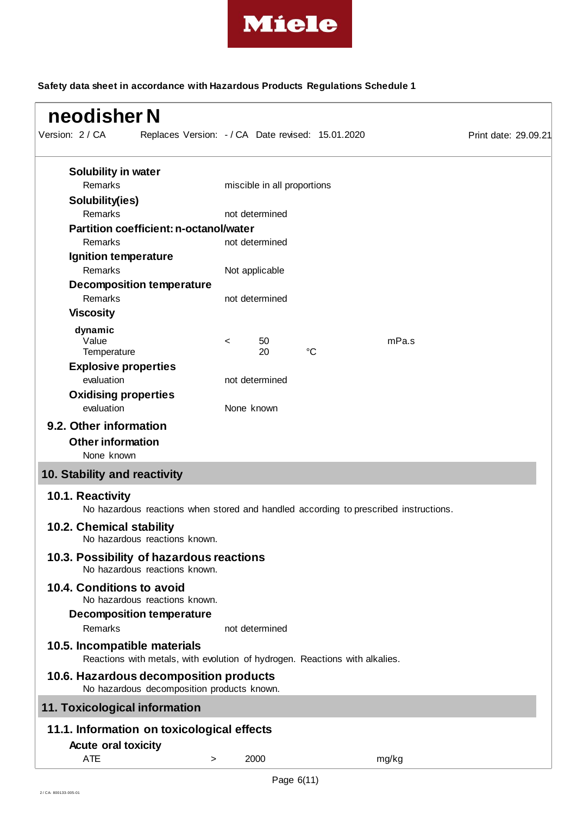

| neodisher N                                                                                                 |  |            |                                                   |                 |                                                                                      |                      |
|-------------------------------------------------------------------------------------------------------------|--|------------|---------------------------------------------------|-----------------|--------------------------------------------------------------------------------------|----------------------|
| Version: 2 / CA                                                                                             |  |            | Replaces Version: - / CA Date revised: 15.01.2020 |                 |                                                                                      | Print date: 29.09.21 |
| <b>Solubility in water</b>                                                                                  |  |            |                                                   |                 |                                                                                      |                      |
| Remarks                                                                                                     |  |            | miscible in all proportions                       |                 |                                                                                      |                      |
| Solubility(ies)                                                                                             |  |            |                                                   |                 |                                                                                      |                      |
| Remarks                                                                                                     |  |            | not determined                                    |                 |                                                                                      |                      |
| <b>Partition coefficient: n-octanol/water</b>                                                               |  |            |                                                   |                 |                                                                                      |                      |
| Remarks                                                                                                     |  |            | not determined                                    |                 |                                                                                      |                      |
| Ignition temperature<br>Remarks                                                                             |  |            |                                                   |                 |                                                                                      |                      |
| <b>Decomposition temperature</b>                                                                            |  |            | Not applicable                                    |                 |                                                                                      |                      |
| Remarks                                                                                                     |  |            | not determined                                    |                 |                                                                                      |                      |
| <b>Viscosity</b>                                                                                            |  |            |                                                   |                 |                                                                                      |                      |
|                                                                                                             |  |            |                                                   |                 |                                                                                      |                      |
| dynamic<br>Value                                                                                            |  | $\,<\,$    | 50                                                |                 | mPa.s                                                                                |                      |
| Temperature                                                                                                 |  |            | 20                                                | $\rm ^{\circ}C$ |                                                                                      |                      |
| <b>Explosive properties</b>                                                                                 |  |            |                                                   |                 |                                                                                      |                      |
| evaluation                                                                                                  |  |            | not determined                                    |                 |                                                                                      |                      |
| <b>Oxidising properties</b>                                                                                 |  |            |                                                   |                 |                                                                                      |                      |
| evaluation                                                                                                  |  | None known |                                                   |                 |                                                                                      |                      |
| 9.2. Other information                                                                                      |  |            |                                                   |                 |                                                                                      |                      |
| <b>Other information</b>                                                                                    |  |            |                                                   |                 |                                                                                      |                      |
| None known                                                                                                  |  |            |                                                   |                 |                                                                                      |                      |
| 10. Stability and reactivity                                                                                |  |            |                                                   |                 |                                                                                      |                      |
| 10.1. Reactivity                                                                                            |  |            |                                                   |                 | No hazardous reactions when stored and handled according to prescribed instructions. |                      |
| <b>10.2. Chemical stability</b><br>No hazardous reactions known.                                            |  |            |                                                   |                 |                                                                                      |                      |
| 10.3. Possibility of hazardous reactions<br>No hazardous reactions known.                                   |  |            |                                                   |                 |                                                                                      |                      |
| 10.4. Conditions to avoid<br>No hazardous reactions known.                                                  |  |            |                                                   |                 |                                                                                      |                      |
| <b>Decomposition temperature</b><br>Remarks                                                                 |  |            | not determined                                    |                 |                                                                                      |                      |
| 10.5. Incompatible materials<br>Reactions with metals, with evolution of hydrogen. Reactions with alkalies. |  |            |                                                   |                 |                                                                                      |                      |
| 10.6. Hazardous decomposition products<br>No hazardous decomposition products known.                        |  |            |                                                   |                 |                                                                                      |                      |
| 11. Toxicological information                                                                               |  |            |                                                   |                 |                                                                                      |                      |
| 11.1. Information on toxicological effects                                                                  |  |            |                                                   |                 |                                                                                      |                      |
| <b>Acute oral toxicity</b>                                                                                  |  |            |                                                   |                 |                                                                                      |                      |
|                                                                                                             |  |            |                                                   |                 |                                                                                      |                      |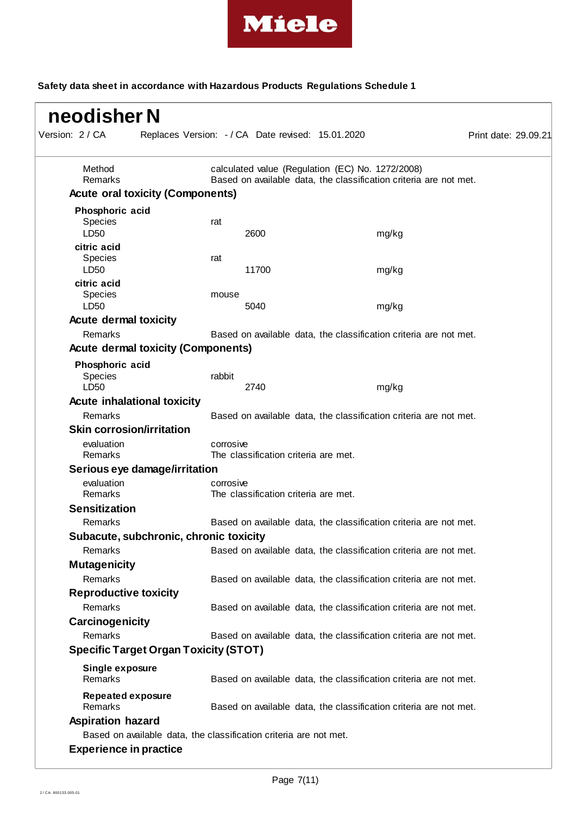

| Method                                       |           |                                      | calculated value (Regulation (EC) No. 1272/2008) |                                                                   |  |
|----------------------------------------------|-----------|--------------------------------------|--------------------------------------------------|-------------------------------------------------------------------|--|
| Remarks                                      |           |                                      |                                                  | Based on available data, the classification criteria are not met. |  |
| <b>Acute oral toxicity (Components)</b>      |           |                                      |                                                  |                                                                   |  |
| Phosphoric acid                              |           |                                      |                                                  |                                                                   |  |
| Species                                      | rat       |                                      |                                                  |                                                                   |  |
| LD <sub>50</sub>                             |           | 2600                                 |                                                  | mg/kg                                                             |  |
| citric acid                                  |           |                                      |                                                  |                                                                   |  |
| <b>Species</b>                               | rat       |                                      |                                                  |                                                                   |  |
| LD50                                         |           | 11700                                |                                                  | mg/kg                                                             |  |
| citric acid                                  |           |                                      |                                                  |                                                                   |  |
| <b>Species</b><br>LD50                       | mouse     | 5040                                 |                                                  | mg/kg                                                             |  |
|                                              |           |                                      |                                                  |                                                                   |  |
| <b>Acute dermal toxicity</b>                 |           |                                      |                                                  |                                                                   |  |
| <b>Remarks</b>                               |           |                                      |                                                  | Based on available data, the classification criteria are not met. |  |
| <b>Acute dermal toxicity (Components)</b>    |           |                                      |                                                  |                                                                   |  |
| Phosphoric acid                              |           |                                      |                                                  |                                                                   |  |
| Species                                      | rabbit    |                                      |                                                  |                                                                   |  |
| LD50                                         |           | 2740                                 |                                                  | mg/kg                                                             |  |
| <b>Acute inhalational toxicity</b>           |           |                                      |                                                  |                                                                   |  |
| Remarks                                      |           |                                      |                                                  | Based on available data, the classification criteria are not met. |  |
| <b>Skin corrosion/irritation</b>             |           |                                      |                                                  |                                                                   |  |
| evaluation                                   | corrosive |                                      |                                                  |                                                                   |  |
| Remarks                                      |           | The classification criteria are met. |                                                  |                                                                   |  |
| Serious eye damage/irritation                |           |                                      |                                                  |                                                                   |  |
| evaluation<br>Remarks                        | corrosive |                                      |                                                  |                                                                   |  |
|                                              |           | The classification criteria are met. |                                                  |                                                                   |  |
| <b>Sensitization</b>                         |           |                                      |                                                  |                                                                   |  |
| Remarks                                      |           |                                      |                                                  | Based on available data, the classification criteria are not met. |  |
| Subacute, subchronic, chronic toxicity       |           |                                      |                                                  |                                                                   |  |
| Remarks                                      |           |                                      |                                                  | Based on available data, the classification criteria are not met. |  |
| <b>Mutagenicity</b>                          |           |                                      |                                                  |                                                                   |  |
| Remarks                                      |           |                                      |                                                  | Based on available data, the classification criteria are not met. |  |
| <b>Reproductive toxicity</b>                 |           |                                      |                                                  |                                                                   |  |
| Remarks                                      |           |                                      |                                                  | Based on available data, the classification criteria are not met. |  |
| Carcinogenicity                              |           |                                      |                                                  |                                                                   |  |
| Remarks                                      |           |                                      |                                                  | Based on available data, the classification criteria are not met. |  |
| <b>Specific Target Organ Toxicity (STOT)</b> |           |                                      |                                                  |                                                                   |  |
|                                              |           |                                      |                                                  |                                                                   |  |
| Single exposure<br>Remarks                   |           |                                      |                                                  | Based on available data, the classification criteria are not met. |  |
|                                              |           |                                      |                                                  |                                                                   |  |
| <b>Repeated exposure</b>                     |           |                                      |                                                  |                                                                   |  |
| Remarks                                      |           |                                      |                                                  | Based on available data, the classification criteria are not met. |  |
| <b>Aspiration hazard</b>                     |           |                                      |                                                  |                                                                   |  |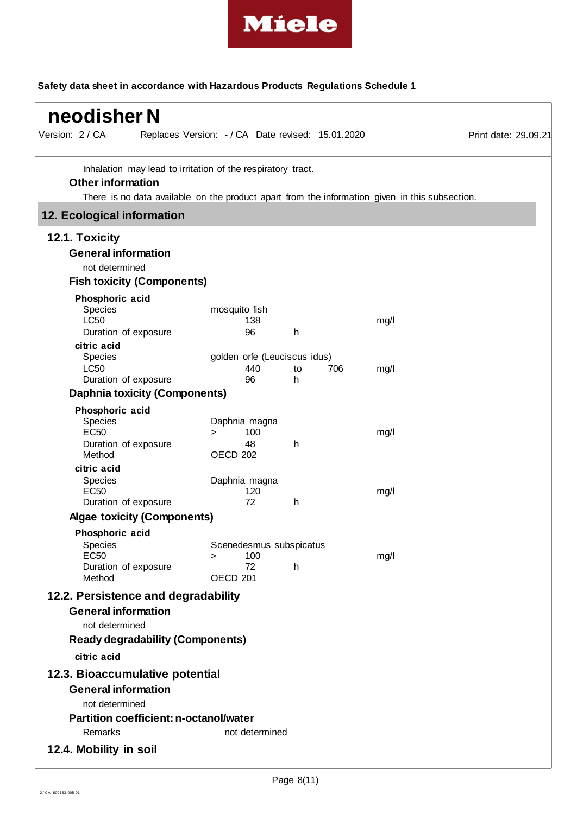

| Version: 2 / CA                                                                                                                                                                           | Replaces Version: - / CA Date revised: 15.01.2020            |    |     |      | Print date: 29.09.21 |
|-------------------------------------------------------------------------------------------------------------------------------------------------------------------------------------------|--------------------------------------------------------------|----|-----|------|----------------------|
| Inhalation may lead to irritation of the respiratory tract.<br><b>Other information</b><br>There is no data available on the product apart from the information given in this subsection. |                                                              |    |     |      |                      |
| 12. Ecological information                                                                                                                                                                |                                                              |    |     |      |                      |
|                                                                                                                                                                                           |                                                              |    |     |      |                      |
| 12.1. Toxicity<br><b>General information</b><br>not determined                                                                                                                            |                                                              |    |     |      |                      |
| <b>Fish toxicity (Components)</b>                                                                                                                                                         |                                                              |    |     |      |                      |
| Phosphoric acid<br>Species<br><b>LC50</b>                                                                                                                                                 | mosquito fish<br>138                                         |    |     | mg/l |                      |
| Duration of exposure                                                                                                                                                                      | 96                                                           | h  |     |      |                      |
| citric acid<br>Species<br><b>LC50</b>                                                                                                                                                     | golden orfe (Leuciscus idus)<br>440                          | to | 706 | mg/l |                      |
| Duration of exposure                                                                                                                                                                      | 96                                                           | h  |     |      |                      |
| <b>Daphnia toxicity (Components)</b>                                                                                                                                                      |                                                              |    |     |      |                      |
| Phosphoric acid<br>Species<br><b>EC50</b><br>Duration of exposure<br>Method                                                                                                               | Daphnia magna<br>100<br>$\geq$<br>48<br><b>OECD 202</b>      | h  |     | mg/l |                      |
| citric acid<br>Species<br><b>EC50</b><br>Duration of exposure                                                                                                                             | Daphnia magna<br>120<br>72                                   | h  |     | mg/l |                      |
| <b>Algae toxicity (Components)</b>                                                                                                                                                        |                                                              |    |     |      |                      |
| Phosphoric acid                                                                                                                                                                           |                                                              |    |     |      |                      |
| Species<br><b>EC50</b><br>Duration of exposure<br>Method                                                                                                                                  | Scenedesmus subspicatus<br>100<br>><br>72<br><b>OECD 201</b> | h  |     | mg/l |                      |
| 12.2. Persistence and degradability                                                                                                                                                       |                                                              |    |     |      |                      |
| <b>General information</b><br>not determined<br><b>Ready degradability (Components)</b>                                                                                                   |                                                              |    |     |      |                      |
| citric acid                                                                                                                                                                               |                                                              |    |     |      |                      |
| 12.3. Bioaccumulative potential                                                                                                                                                           |                                                              |    |     |      |                      |
| <b>General information</b><br>not determined                                                                                                                                              |                                                              |    |     |      |                      |
| <b>Partition coefficient: n-octanol/water</b>                                                                                                                                             |                                                              |    |     |      |                      |
| Remarks                                                                                                                                                                                   | not determined                                               |    |     |      |                      |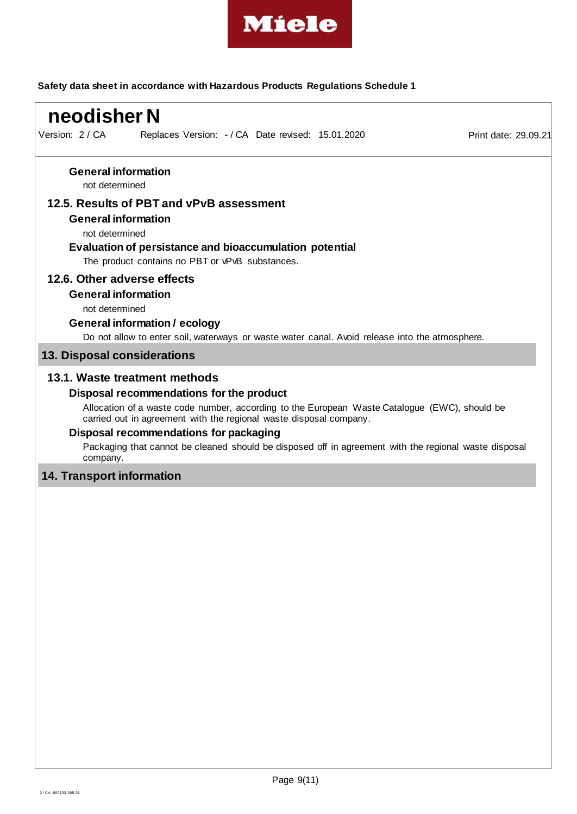

| Version: 2 / CA<br>Replaces Version: - / CA Date revised: 15.01.2020<br><b>General information</b><br>not determined<br>12.5. Results of PBT and vPvB assessment<br><b>General information</b><br>not determined<br>Evaluation of persistance and bioaccumulation potential<br>The product contains no PBT or vPvB substances.<br>12.6. Other adverse effects<br><b>General information</b><br>not determined<br><b>General information / ecology</b><br>Do not allow to enter soil, waterways or waste water canal. Avoid release into the atmosphere.<br>13. Disposal considerations<br>13.1. Waste treatment methods<br>Disposal recommendations for the product<br>Allocation of a waste code number, according to the European Waste Catalogue (EWC), should be<br>carried out in agreement with the regional waste disposal company.<br>Disposal recommendations for packaging<br>Packaging that cannot be cleaned should be disposed off in agreement with the regional waste disposal<br>company.<br><b>14. Transport information</b> | neodisher N |                      |
|-----------------------------------------------------------------------------------------------------------------------------------------------------------------------------------------------------------------------------------------------------------------------------------------------------------------------------------------------------------------------------------------------------------------------------------------------------------------------------------------------------------------------------------------------------------------------------------------------------------------------------------------------------------------------------------------------------------------------------------------------------------------------------------------------------------------------------------------------------------------------------------------------------------------------------------------------------------------------------------------------------------------------------------------------|-------------|----------------------|
|                                                                                                                                                                                                                                                                                                                                                                                                                                                                                                                                                                                                                                                                                                                                                                                                                                                                                                                                                                                                                                               |             | Print date: 29.09.21 |
|                                                                                                                                                                                                                                                                                                                                                                                                                                                                                                                                                                                                                                                                                                                                                                                                                                                                                                                                                                                                                                               |             |                      |
|                                                                                                                                                                                                                                                                                                                                                                                                                                                                                                                                                                                                                                                                                                                                                                                                                                                                                                                                                                                                                                               |             |                      |
|                                                                                                                                                                                                                                                                                                                                                                                                                                                                                                                                                                                                                                                                                                                                                                                                                                                                                                                                                                                                                                               |             |                      |
|                                                                                                                                                                                                                                                                                                                                                                                                                                                                                                                                                                                                                                                                                                                                                                                                                                                                                                                                                                                                                                               |             |                      |
|                                                                                                                                                                                                                                                                                                                                                                                                                                                                                                                                                                                                                                                                                                                                                                                                                                                                                                                                                                                                                                               |             |                      |
|                                                                                                                                                                                                                                                                                                                                                                                                                                                                                                                                                                                                                                                                                                                                                                                                                                                                                                                                                                                                                                               |             |                      |
|                                                                                                                                                                                                                                                                                                                                                                                                                                                                                                                                                                                                                                                                                                                                                                                                                                                                                                                                                                                                                                               |             |                      |
|                                                                                                                                                                                                                                                                                                                                                                                                                                                                                                                                                                                                                                                                                                                                                                                                                                                                                                                                                                                                                                               |             |                      |
|                                                                                                                                                                                                                                                                                                                                                                                                                                                                                                                                                                                                                                                                                                                                                                                                                                                                                                                                                                                                                                               |             |                      |
|                                                                                                                                                                                                                                                                                                                                                                                                                                                                                                                                                                                                                                                                                                                                                                                                                                                                                                                                                                                                                                               |             |                      |
|                                                                                                                                                                                                                                                                                                                                                                                                                                                                                                                                                                                                                                                                                                                                                                                                                                                                                                                                                                                                                                               |             |                      |
|                                                                                                                                                                                                                                                                                                                                                                                                                                                                                                                                                                                                                                                                                                                                                                                                                                                                                                                                                                                                                                               |             |                      |
|                                                                                                                                                                                                                                                                                                                                                                                                                                                                                                                                                                                                                                                                                                                                                                                                                                                                                                                                                                                                                                               |             |                      |
|                                                                                                                                                                                                                                                                                                                                                                                                                                                                                                                                                                                                                                                                                                                                                                                                                                                                                                                                                                                                                                               |             |                      |
|                                                                                                                                                                                                                                                                                                                                                                                                                                                                                                                                                                                                                                                                                                                                                                                                                                                                                                                                                                                                                                               |             |                      |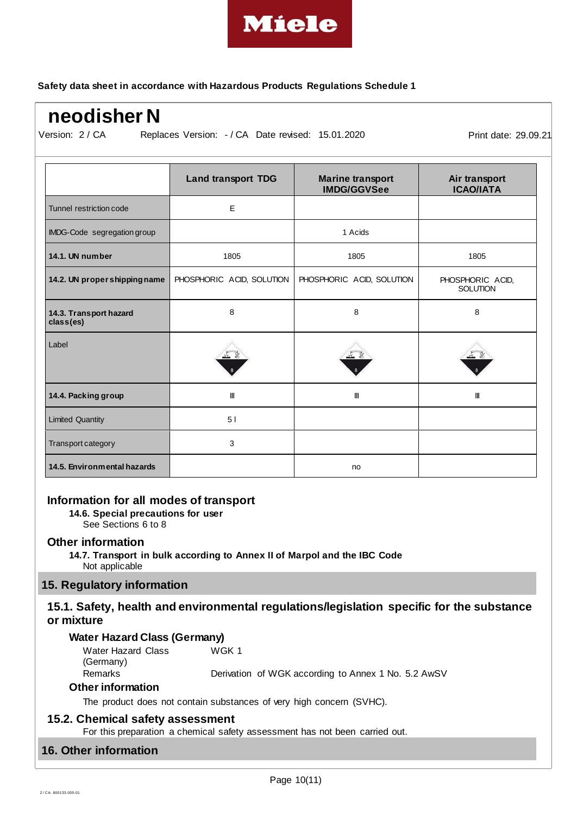

# **neodisher N**

Version: 2 / CA

Replaces Version:  $-$  / CA Date revised: 15.01.2020 Print date: 29.09.21

|                                     | <b>Land transport TDG</b> | <b>Marine transport</b><br><b>IMDG/GGVSee</b> | Air transport<br><b>ICAO/IATA</b>   |
|-------------------------------------|---------------------------|-----------------------------------------------|-------------------------------------|
| Tunnel restriction code             | E                         |                                               |                                     |
| IMDG-Code segregation group         |                           | 1 Acids                                       |                                     |
| 14.1. UN number                     | 1805                      | 1805                                          | 1805                                |
| 14.2. UN proper shipping name       | PHOSPHORIC ACID, SOLUTION | PHOSPHORIC ACID, SOLUTION                     | PHOSPHORIC ACID,<br><b>SOLUTION</b> |
| 14.3. Transport hazard<br>class(es) | 8                         | 8                                             | 8                                   |
| Label                               |                           |                                               |                                     |
| 14.4. Packing group                 | Ш                         | Ш                                             | $\mathbf{H}$                        |
| <b>Limited Quantity</b>             | 51                        |                                               |                                     |
| Transport category                  | 3                         |                                               |                                     |
| 14.5. Environmental hazards         |                           | no                                            |                                     |

## **Information for all modes of transport**

**14.6. Special precautions for user**

See Sections 6 to 8

#### **Other information**

**14.7. Transport in bulk according to Annex II of Marpol and the IBC Code** Not applicable

## **15. Regulatory information**

## **15.1. Safety, health and environmental regulations/legislation specific for the substance or mixture**

#### **Water Hazard Class (Germany)**

| Water Hazard Class | WGK 1                                               |
|--------------------|-----------------------------------------------------|
| (Germany)          |                                                     |
| Remarks            | Derivation of WGK according to Annex 1 No. 5.2 AwSV |

#### **Other information**

The product does not contain substances of very high concern (SVHC).

#### **15.2. Chemical safety assessment**

For this preparation a chemical safety assessment has not been carried out.

## **16. Other information**